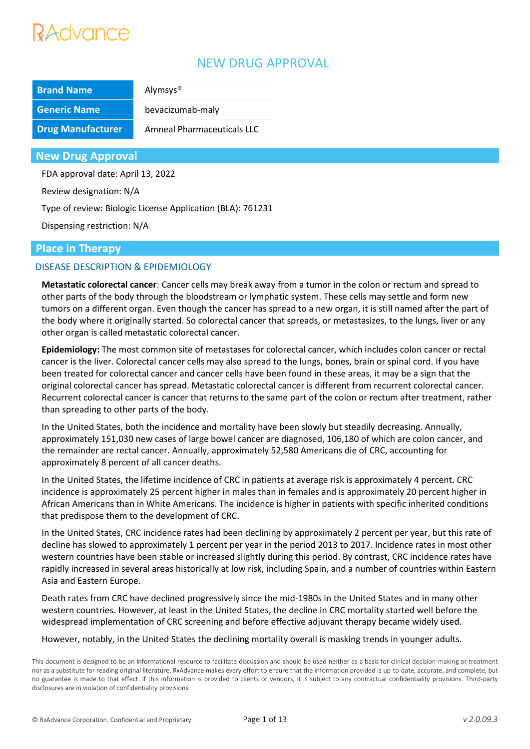## NEW DRUG APPROVAL

| <b>Brand Name</b>        | Alymsys <sup>®</sup>       |  |  |
|--------------------------|----------------------------|--|--|
| <b>Generic Name</b>      | bevacizumab-maly           |  |  |
| <b>Drug Manufacturer</b> | Amneal Pharmaceuticals LLC |  |  |

**New Drug Approval**

FDA approval date: April 13, 2022

Review designation: N/A

Type of review: Biologic License Application (BLA): 761231

Dispensing restriction: N/A

### **Place in Therapy**

### DISEASE DESCRIPTION & EPIDEMIOLOGY

**Metastatic colorectal cancer**: Cancer cells may break away from a tumor in the colon or rectum and spread to other parts of the body through the bloodstream or lymphatic system. These cells may settle and form new tumors on a different organ. Even though the cancer has spread to a new organ, it is still named after the part of the body where it originally started. So colorectal cancer that spreads, or metastasizes, to the lungs, liver or any other organ is called metastatic colorectal cancer.

**Epidemiology:** The most common site of metastases for colorectal cancer, which includes colon cancer or rectal cancer is the liver. Colorectal cancer cells may also spread to the lungs, bones, brain or spinal cord. If you have been treated for colorectal cancer and cancer cells have been found in these areas, it may be a sign that the original colorectal cancer has spread. Metastatic colorectal cancer is different from recurrent colorectal cancer. Recurrent colorectal cancer is cancer that returns to the same part of the colon or rectum after treatment, rather than spreading to other parts of the body.

In the United States, both the incidence and mortality have been slowly but steadily decreasing. Annually, approximately 151,030 new cases of large bowel cancer are diagnosed, 106,180 of which are colon cancer, and the remainder are rectal cancer. Annually, approximately 52,580 Americans die of CRC, accounting for approximately 8 percent of all cancer deaths.

In the United States, the lifetime incidence of CRC in patients at average risk is approximately 4 percent. CRC incidence is approximately 25 percent higher in males than in females and is approximately 20 percent higher in African Americans than in White Americans. The incidence is higher in patients with specific inherited conditions that predispose them to the development of CRC.

In the United States, CRC incidence rates had been declining by approximately 2 percent per year, but this rate of decline has slowed to approximately 1 percent per year in the period 2013 to 2017. Incidence rates in most other western countries have been stable or increased slightly during this period. By contrast, CRC incidence rates have rapidly increased in several areas historically at low risk, including Spain, and a number of countries within Eastern Asia and Eastern Europe.

Death rates from CRC have declined progressively since the mid-1980s in the United States and in many other western countries. However, at least in the United States, the decline in CRC mortality started well before the widespread implementation of CRC screening and before effective adjuvant therapy became widely used.

However, notably, in the United States the declining mortality overall is masking trends in younger adults.

This document is designed to be an informational resource to facilitate discussion and should be used neither as a basis for clinical decision-making or treatment nor as a substitute for reading original literature. RxAdvance makes every effort to ensure that the information provided is up-to-date, accurate, and complete, but no guarantee is made to that effect. If this information is provided to clients or vendors, it is subject to any contractual confidentiality provisions. Third-party disclosures are in violation of confidentiality provisions.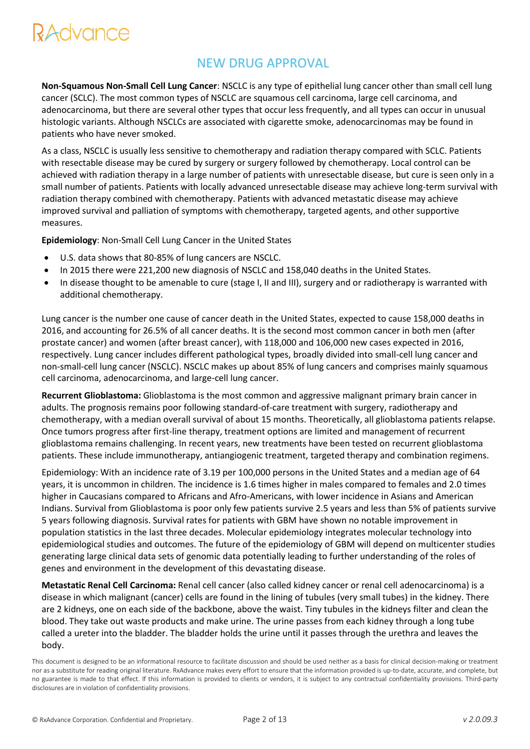## NEW DRUG APPROVAL

**Non-Squamous Non-Small Cell Lung Cancer**: NSCLC is any type of epithelial lung cancer other than small cell lung cancer (SCLC). The most common types of NSCLC are squamous cell carcinoma, large cell carcinoma, and adenocarcinoma, but there are several other types that occur less frequently, and all types can occur in unusual histologic variants. Although NSCLCs are associated with cigarette smoke, adenocarcinomas may be found in patients who have never smoked.

As a class, NSCLC is usually less sensitive to chemotherapy and radiation therapy compared with SCLC. Patients with resectable disease may be cured by surgery or surgery followed by chemotherapy. Local control can be achieved with radiation therapy in a large number of patients with unresectable disease, but cure is seen only in a small number of patients. Patients with locally advanced unresectable disease may achieve long-term survival with radiation therapy combined with chemotherapy. Patients with advanced metastatic disease may achieve improved survival and palliation of symptoms with chemotherapy, targeted agents, and other supportive measures.

**Epidemiology**: Non-Small Cell Lung Cancer in the United States

- U.S. data shows that 80-85% of lung cancers are NSCLC.
- In 2015 there were 221,200 new diagnosis of NSCLC and 158,040 deaths in the United States.
- In disease thought to be amenable to cure (stage I, II and III), surgery and or radiotherapy is warranted with additional chemotherapy.

Lung cancer is the number one cause of cancer death in the United States, expected to cause 158,000 deaths in 2016, and accounting for 26.5% of all cancer deaths. It is the second most common cancer in both men (after prostate cancer) and women (after breast cancer), with 118,000 and 106,000 new cases expected in 2016, respectively. Lung cancer includes different pathological types, broadly divided into small-cell lung cancer and non-small-cell lung cancer (NSCLC). NSCLC makes up about 85% of lung cancers and comprises mainly squamous cell carcinoma, adenocarcinoma, and large-cell lung cancer.

**Recurrent Glioblastoma:** Glioblastoma is the most common and aggressive malignant primary brain cancer in adults. The prognosis remains poor following standard-of-care treatment with surgery, radiotherapy and chemotherapy, with a median overall survival of about 15 months. Theoretically, all glioblastoma patients relapse. Once tumors progress after first-line therapy, treatment options are limited and management of recurrent glioblastoma remains challenging. In recent years, new treatments have been tested on recurrent glioblastoma patients. These include immunotherapy, antiangiogenic treatment, targeted therapy and combination regimens.

Epidemiology: With an incidence rate of 3.19 per 100,000 persons in the United States and a median age of 64 years, it is uncommon in children. The incidence is 1.6 times higher in males compared to females and 2.0 times higher in Caucasians compared to Africans and Afro-Americans, with lower incidence in Asians and American Indians. Survival from Glioblastoma is poor only few patients survive 2.5 years and less than 5% of patients survive 5 years following diagnosis. Survival rates for patients with GBM have shown no notable improvement in population statistics in the last three decades. Molecular epidemiology integrates molecular technology into epidemiological studies and outcomes. The future of the epidemiology of GBM will depend on multicenter studies generating large clinical data sets of genomic data potentially leading to further understanding of the roles of genes and environment in the development of this devastating disease.

**Metastatic Renal Cell Carcinoma:** Renal cell cancer (also called kidney cancer or renal cell adenocarcinoma) is a disease in which malignant (cancer) cells are found in the lining of tubules (very small tubes) in the kidney. There are 2 kidneys, one on each side of the backbone, above the waist. Tiny tubules in the kidneys filter and clean the blood. They take out waste products and make urine. The urine passes from each kidney through a long tube called a ureter into the bladder. The bladder holds the urine until it passes through the urethra and leaves the body.

This document is designed to be an informational resource to facilitate discussion and should be used neither as a basis for clinical decision-making or treatment nor as a substitute for reading original literature. RxAdvance makes every effort to ensure that the information provided is up-to-date, accurate, and complete, but no guarantee is made to that effect. If this information is provided to clients or vendors, it is subject to any contractual confidentiality provisions. Third-party disclosures are in violation of confidentiality provisions.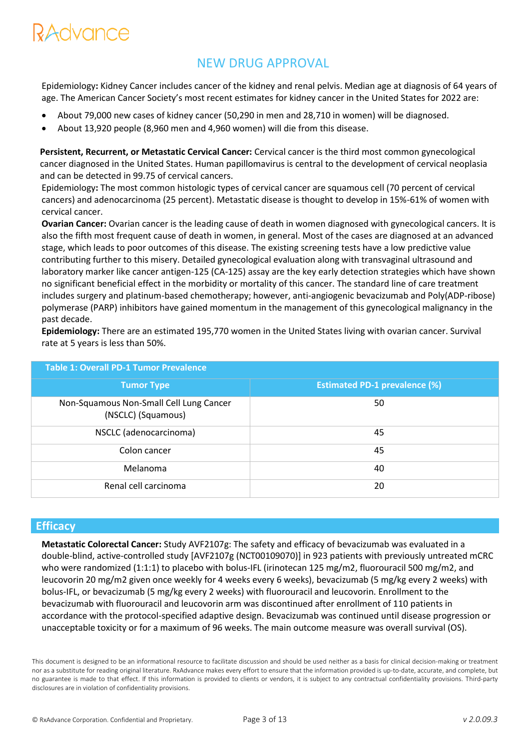## NEW DRUG APPROVAL

Epidemiology**:** Kidney Cancer includes cancer of the kidney and renal pelvis. Median age at diagnosis of 64 years of age. The American Cancer Society's most recent estimates for kidney cancer in the United States for 2022 are:

- About 79,000 new cases of kidney cancer (50,290 in men and 28,710 in women) will be diagnosed.
- About 13,920 people (8,960 men and 4,960 women) will die from this disease.

**Persistent, Recurrent, or Metastatic Cervical Cancer:** Cervical cancer is the third most common gynecological cancer diagnosed in the United States. Human papillomavirus is central to the development of cervical neoplasia and can be detected in 99.75 of cervical cancers.

Epidemiology**:** The most common histologic types of cervical cancer are squamous cell (70 percent of cervical cancers) and adenocarcinoma (25 percent). Metastatic disease is thought to develop in 15%-61% of women with cervical cancer.

**Ovarian Cancer:** Ovarian cancer is the leading cause of death in women diagnosed with gynecological cancers. It is also the fifth most frequent cause of death in women, in general. Most of the cases are diagnosed at an advanced stage, which leads to poor outcomes of this disease. The existing screening tests have a low predictive value contributing further to this misery. Detailed gynecological evaluation along with transvaginal ultrasound and laboratory marker like cancer antigen-125 (CA-125) assay are the key early detection strategies which have shown no significant beneficial effect in the morbidity or mortality of this cancer. The standard line of care treatment includes surgery and platinum-based chemotherapy; however, anti-angiogenic bevacizumab and Poly(ADP-ribose) polymerase (PARP) inhibitors have gained momentum in the management of this gynecological malignancy in the past decade.

**Epidemiology:** There are an estimated 195,770 women in the United States living with ovarian cancer. Survival rate at 5 years is less than 50%.

| <b>Table 1: Overall PD-1 Tumor Prevalence</b>                 |                                      |  |  |
|---------------------------------------------------------------|--------------------------------------|--|--|
| <b>Tumor Type</b>                                             | <b>Estimated PD-1 prevalence (%)</b> |  |  |
| Non-Squamous Non-Small Cell Lung Cancer<br>(NSCLC) (Squamous) | 50                                   |  |  |
| NSCLC (adenocarcinoma)                                        | 45                                   |  |  |
| Colon cancer                                                  | 45                                   |  |  |
| Melanoma                                                      | 40                                   |  |  |
| Renal cell carcinoma                                          | 20                                   |  |  |

### **Efficacy**

**Metastatic Colorectal Cancer:** Study AVF2107g: The safety and efficacy of bevacizumab was evaluated in a double-blind, active-controlled study [AVF2107g (NCT00109070)] in 923 patients with previously untreated mCRC who were randomized (1:1:1) to placebo with bolus-IFL (irinotecan 125 mg/m2, fluorouracil 500 mg/m2, and leucovorin 20 mg/m2 given once weekly for 4 weeks every 6 weeks), bevacizumab (5 mg/kg every 2 weeks) with bolus-IFL, or bevacizumab (5 mg/kg every 2 weeks) with fluorouracil and leucovorin. Enrollment to the bevacizumab with fluorouracil and leucovorin arm was discontinued after enrollment of 110 patients in accordance with the protocol-specified adaptive design. Bevacizumab was continued until disease progression or unacceptable toxicity or for a maximum of 96 weeks. The main outcome measure was overall survival (OS).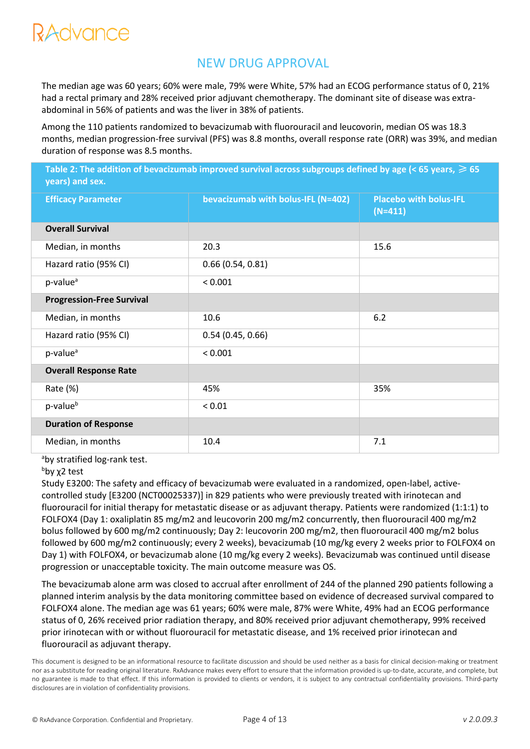## NEW DRUG APPROVAL

The median age was 60 years; 60% were male, 79% were White, 57% had an ECOG performance status of 0, 21% had a rectal primary and 28% received prior adjuvant chemotherapy. The dominant site of disease was extraabdominal in 56% of patients and was the liver in 38% of patients.

Among the 110 patients randomized to bevacizumab with fluorouracil and leucovorin, median OS was 18.3 months, median progression-free survival (PFS) was 8.8 months, overall response rate (ORR) was 39%, and median duration of response was 8.5 months.

Table 2: The addition of bevacizumab improved survival across subgroups defined by age (< 65 years, ≥ 65 **years) and sex. Efficacy Parameter bevacizumab with bolus-IFL (N=402) Placebo with bolus-IFL (N=411) Overall Survival** Median, in months 15.6 Hazard ratio (95% CI) 0.66 (0.54, 0.81)  $p-value^a$  < 0.001 **Progression-Free Survival** Median, in months 10.6 6.2 Hazard ratio (95% CI) 0.54 (0.45, 0.66)  $p-value^a$  < 0.001 **Overall Response Rate** Rate (%) 35% 35% 35%  $p-value<sup>b</sup>$  < 0.01 **Duration of Response** Median, in months 10.4 10.4 7.1

aby stratified log-rank test.

#### bby x<sub>2</sub> test

Study E3200: The safety and efficacy of bevacizumab were evaluated in a randomized, open-label, activecontrolled study [E3200 (NCT00025337)] in 829 patients who were previously treated with irinotecan and fluorouracil for initial therapy for metastatic disease or as adjuvant therapy. Patients were randomized (1:1:1) to FOLFOX4 (Day 1: oxaliplatin 85 mg/m2 and leucovorin 200 mg/m2 concurrently, then fluorouracil 400 mg/m2 bolus followed by 600 mg/m2 continuously; Day 2: leucovorin 200 mg/m2, then fluorouracil 400 mg/m2 bolus followed by 600 mg/m2 continuously; every 2 weeks), bevacizumab (10 mg/kg every 2 weeks prior to FOLFOX4 on Day 1) with FOLFOX4, or bevacizumab alone (10 mg/kg every 2 weeks). Bevacizumab was continued until disease progression or unacceptable toxicity. The main outcome measure was OS.

The bevacizumab alone arm was closed to accrual after enrollment of 244 of the planned 290 patients following a planned interim analysis by the data monitoring committee based on evidence of decreased survival compared to FOLFOX4 alone. The median age was 61 years; 60% were male, 87% were White, 49% had an ECOG performance status of 0, 26% received prior radiation therapy, and 80% received prior adjuvant chemotherapy, 99% received prior irinotecan with or without fluorouracil for metastatic disease, and 1% received prior irinotecan and fluorouracil as adjuvant therapy.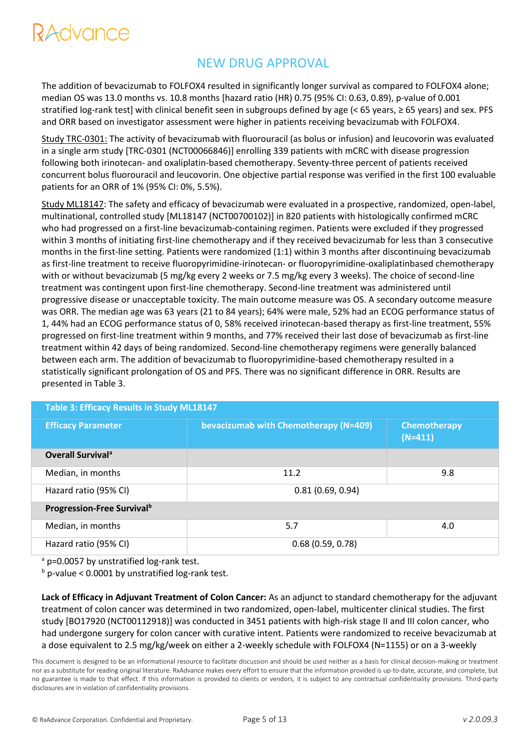## NEW DRUG APPROVAL

The addition of bevacizumab to FOLFOX4 resulted in significantly longer survival as compared to FOLFOX4 alone; median OS was 13.0 months vs. 10.8 months [hazard ratio (HR) 0.75 (95% CI: 0.63, 0.89), p-value of 0.001 stratified log-rank test] with clinical benefit seen in subgroups defined by age (< 65 years, ≥ 65 years) and sex. PFS and ORR based on investigator assessment were higher in patients receiving bevacizumab with FOLFOX4.

Study TRC-0301: The activity of bevacizumab with fluorouracil (as bolus or infusion) and leucovorin was evaluated in a single arm study [TRC-0301 (NCT00066846)] enrolling 339 patients with mCRC with disease progression following both irinotecan- and oxaliplatin-based chemotherapy. Seventy-three percent of patients received concurrent bolus fluorouracil and leucovorin. One objective partial response was verified in the first 100 evaluable patients for an ORR of 1% (95% CI: 0%, 5.5%).

Study ML18147: The safety and efficacy of bevacizumab were evaluated in a prospective, randomized, open-label, multinational, controlled study [ML18147 (NCT00700102)] in 820 patients with histologically confirmed mCRC who had progressed on a first-line bevacizumab-containing regimen. Patients were excluded if they progressed within 3 months of initiating first-line chemotherapy and if they received bevacizumab for less than 3 consecutive months in the first-line setting. Patients were randomized (1:1) within 3 months after discontinuing bevacizumab as first-line treatment to receive fluoropyrimidine-irinotecan- or fluoropyrimidine-oxaliplatinbased chemotherapy with or without bevacizumab (5 mg/kg every 2 weeks or 7.5 mg/kg every 3 weeks). The choice of second-line treatment was contingent upon first-line chemotherapy. Second-line treatment was administered until progressive disease or unacceptable toxicity. The main outcome measure was OS. A secondary outcome measure was ORR. The median age was 63 years (21 to 84 years); 64% were male, 52% had an ECOG performance status of 1, 44% had an ECOG performance status of 0, 58% received irinotecan-based therapy as first-line treatment, 55% progressed on first-line treatment within 9 months, and 77% received their last dose of bevacizumab as first-line treatment within 42 days of being randomized. Second-line chemotherapy regimens were generally balanced between each arm. The addition of bevacizumab to fluoropyrimidine-based chemotherapy resulted in a statistically significant prolongation of OS and PFS. There was no significant difference in ORR. Results are presented in Table 3.

| Table 3: Efficacy Results in Study ML18147 |                                       |                           |  |  |
|--------------------------------------------|---------------------------------------|---------------------------|--|--|
| <b>Efficacy Parameter</b>                  | bevacizumab with Chemotherapy (N=409) | Chemotherapy<br>$(N=411)$ |  |  |
| <b>Overall Survival<sup>a</sup></b>        |                                       |                           |  |  |
| Median, in months                          | 11.2                                  | 9.8                       |  |  |
| Hazard ratio (95% CI)                      | 0.81(0.69, 0.94)                      |                           |  |  |
| <b>Progression-Free Survival</b> b         |                                       |                           |  |  |
| Median, in months                          | 5.7                                   | 4.0                       |  |  |
| Hazard ratio (95% CI)                      | 0.68(0.59, 0.78)                      |                           |  |  |

<sup>a</sup> p=0.0057 by unstratified log-rank test.

 $b$  p-value < 0.0001 by unstratified log-rank test.

**Lack of Efficacy in Adjuvant Treatment of Colon Cancer:** As an adjunct to standard chemotherapy for the adjuvant treatment of colon cancer was determined in two randomized, open-label, multicenter clinical studies. The first study [BO17920 (NCT00112918)] was conducted in 3451 patients with high-risk stage II and III colon cancer, who had undergone surgery for colon cancer with curative intent. Patients were randomized to receive bevacizumab at a dose equivalent to 2.5 mg/kg/week on either a 2-weekly schedule with FOLFOX4 (N=1155) or on a 3-weekly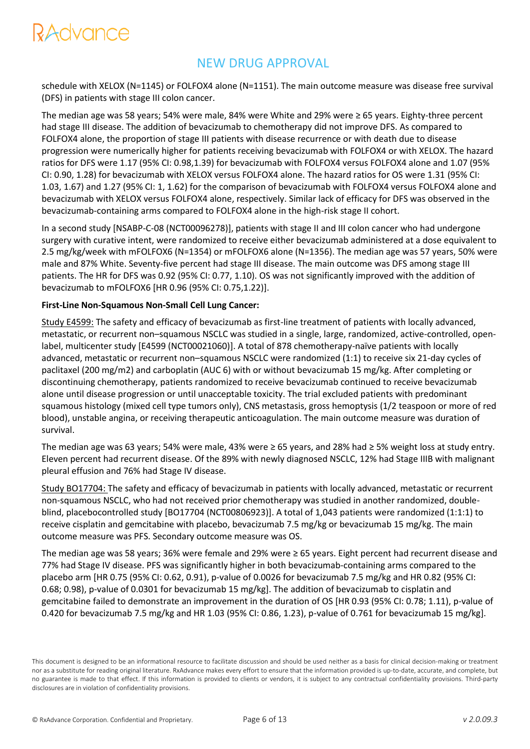## NEW DRUG APPROVAL

schedule with XELOX (N=1145) or FOLFOX4 alone (N=1151). The main outcome measure was disease free survival (DFS) in patients with stage III colon cancer.

The median age was 58 years; 54% were male, 84% were White and 29% were ≥ 65 years. Eighty-three percent had stage III disease. The addition of bevacizumab to chemotherapy did not improve DFS. As compared to FOLFOX4 alone, the proportion of stage III patients with disease recurrence or with death due to disease progression were numerically higher for patients receiving bevacizumab with FOLFOX4 or with XELOX. The hazard ratios for DFS were 1.17 (95% CI: 0.98,1.39) for bevacizumab with FOLFOX4 versus FOLFOX4 alone and 1.07 (95% CI: 0.90, 1.28) for bevacizumab with XELOX versus FOLFOX4 alone. The hazard ratios for OS were 1.31 (95% CI: 1.03, 1.67) and 1.27 (95% CI: 1, 1.62) for the comparison of bevacizumab with FOLFOX4 versus FOLFOX4 alone and bevacizumab with XELOX versus FOLFOX4 alone, respectively. Similar lack of efficacy for DFS was observed in the bevacizumab-containing arms compared to FOLFOX4 alone in the high-risk stage II cohort.

In a second study [NSABP-C-08 (NCT00096278)], patients with stage II and III colon cancer who had undergone surgery with curative intent, were randomized to receive either bevacizumab administered at a dose equivalent to 2.5 mg/kg/week with mFOLFOX6 (N=1354) or mFOLFOX6 alone (N=1356). The median age was 57 years, 50% were male and 87% White. Seventy-five percent had stage III disease. The main outcome was DFS among stage III patients. The HR for DFS was 0.92 (95% CI: 0.77, 1.10). OS was not significantly improved with the addition of bevacizumab to mFOLFOX6 [HR 0.96 (95% CI: 0.75,1.22)].

### **First-Line Non-Squamous Non-Small Cell Lung Cancer:**

Study E4599: The safety and efficacy of bevacizumab as first-line treatment of patients with locally advanced, metastatic, or recurrent non–squamous NSCLC was studied in a single, large, randomized, active-controlled, openlabel, multicenter study [E4599 (NCT00021060)]. A total of 878 chemotherapy-naïve patients with locally advanced, metastatic or recurrent non–squamous NSCLC were randomized (1:1) to receive six 21-day cycles of paclitaxel (200 mg/m2) and carboplatin (AUC 6) with or without bevacizumab 15 mg/kg. After completing or discontinuing chemotherapy, patients randomized to receive bevacizumab continued to receive bevacizumab alone until disease progression or until unacceptable toxicity. The trial excluded patients with predominant squamous histology (mixed cell type tumors only), CNS metastasis, gross hemoptysis (1/2 teaspoon or more of red blood), unstable angina, or receiving therapeutic anticoagulation. The main outcome measure was duration of survival.

The median age was 63 years; 54% were male, 43% were ≥ 65 years, and 28% had ≥ 5% weight loss at study entry. Eleven percent had recurrent disease. Of the 89% with newly diagnosed NSCLC, 12% had Stage IIIB with malignant pleural effusion and 76% had Stage IV disease.

Study BO17704: The safety and efficacy of bevacizumab in patients with locally advanced, metastatic or recurrent non-squamous NSCLC, who had not received prior chemotherapy was studied in another randomized, doubleblind, placebocontrolled study [BO17704 (NCT00806923)]. A total of 1,043 patients were randomized (1:1:1) to receive cisplatin and gemcitabine with placebo, bevacizumab 7.5 mg/kg or bevacizumab 15 mg/kg. The main outcome measure was PFS. Secondary outcome measure was OS.

The median age was 58 years; 36% were female and 29% were ≥ 65 years. Eight percent had recurrent disease and 77% had Stage IV disease. PFS was significantly higher in both bevacizumab-containing arms compared to the placebo arm [HR 0.75 (95% CI: 0.62, 0.91), p-value of 0.0026 for bevacizumab 7.5 mg/kg and HR 0.82 (95% CI: 0.68; 0.98), p-value of 0.0301 for bevacizumab 15 mg/kg]. The addition of bevacizumab to cisplatin and gemcitabine failed to demonstrate an improvement in the duration of OS [HR 0.93 (95% CI: 0.78; 1.11), p-value of 0.420 for bevacizumab 7.5 mg/kg and HR 1.03 (95% CI: 0.86, 1.23), p-value of 0.761 for bevacizumab 15 mg/kg].

This document is designed to be an informational resource to facilitate discussion and should be used neither as a basis for clinical decision-making or treatment nor as a substitute for reading original literature. RxAdvance makes every effort to ensure that the information provided is up-to-date, accurate, and complete, but no guarantee is made to that effect. If this information is provided to clients or vendors, it is subject to any contractual confidentiality provisions. Third-party disclosures are in violation of confidentiality provisions.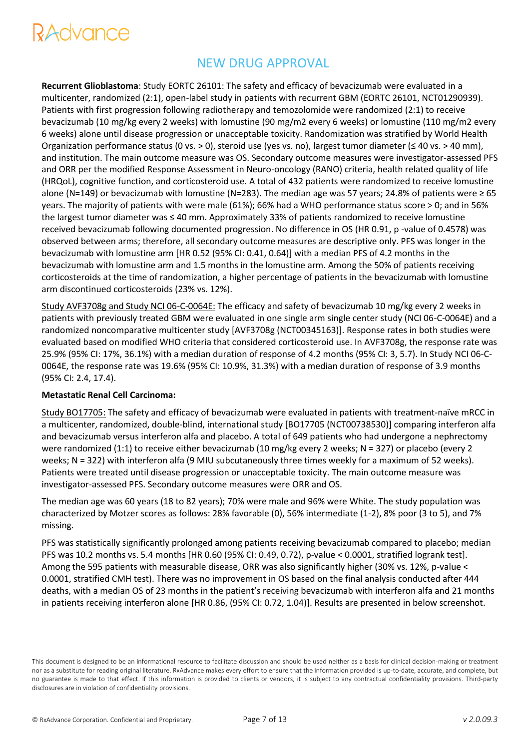## NEW DRUG APPROVAL

**Recurrent Glioblastoma**: Study EORTC 26101: The safety and efficacy of bevacizumab were evaluated in a multicenter, randomized (2:1), open-label study in patients with recurrent GBM (EORTC 26101, NCT01290939). Patients with first progression following radiotherapy and temozolomide were randomized (2:1) to receive bevacizumab (10 mg/kg every 2 weeks) with lomustine (90 mg/m2 every 6 weeks) or lomustine (110 mg/m2 every 6 weeks) alone until disease progression or unacceptable toxicity. Randomization was stratified by World Health Organization performance status (0 vs. > 0), steroid use (yes vs. no), largest tumor diameter (≤ 40 vs. > 40 mm), and institution. The main outcome measure was OS. Secondary outcome measures were investigator-assessed PFS and ORR per the modified Response Assessment in Neuro-oncology (RANO) criteria, health related quality of life (HRQoL), cognitive function, and corticosteroid use. A total of 432 patients were randomized to receive lomustine alone (N=149) or bevacizumab with lomustine (N=283). The median age was 57 years; 24.8% of patients were ≥ 65 years. The majority of patients with were male (61%); 66% had a WHO performance status score > 0; and in 56% the largest tumor diameter was ≤ 40 mm. Approximately 33% of patients randomized to receive lomustine received bevacizumab following documented progression. No difference in OS (HR 0.91, p -value of 0.4578) was observed between arms; therefore, all secondary outcome measures are descriptive only. PFS was longer in the bevacizumab with lomustine arm [HR 0.52 (95% CI: 0.41, 0.64)] with a median PFS of 4.2 months in the bevacizumab with lomustine arm and 1.5 months in the lomustine arm. Among the 50% of patients receiving corticosteroids at the time of randomization, a higher percentage of patients in the bevacizumab with lomustine arm discontinued corticosteroids (23% vs. 12%).

Study AVF3708g and Study NCI 06-C-0064E: The efficacy and safety of bevacizumab 10 mg/kg every 2 weeks in patients with previously treated GBM were evaluated in one single arm single center study (NCI 06-C-0064E) and a randomized noncomparative multicenter study [AVF3708g (NCT00345163)]. Response rates in both studies were evaluated based on modified WHO criteria that considered corticosteroid use. In AVF3708g, the response rate was 25.9% (95% CI: 17%, 36.1%) with a median duration of response of 4.2 months (95% CI: 3, 5.7). In Study NCI 06-C-0064E, the response rate was 19.6% (95% CI: 10.9%, 31.3%) with a median duration of response of 3.9 months (95% CI: 2.4, 17.4).

#### **Metastatic Renal Cell Carcinoma:**

Study BO17705: The safety and efficacy of bevacizumab were evaluated in patients with treatment-naïve mRCC in a multicenter, randomized, double-blind, international study [BO17705 (NCT00738530)] comparing interferon alfa and bevacizumab versus interferon alfa and placebo. A total of 649 patients who had undergone a nephrectomy were randomized (1:1) to receive either bevacizumab (10 mg/kg every 2 weeks; N = 327) or placebo (every 2 weeks; N = 322) with interferon alfa (9 MIU subcutaneously three times weekly for a maximum of 52 weeks). Patients were treated until disease progression or unacceptable toxicity. The main outcome measure was investigator-assessed PFS. Secondary outcome measures were ORR and OS.

The median age was 60 years (18 to 82 years); 70% were male and 96% were White. The study population was characterized by Motzer scores as follows: 28% favorable (0), 56% intermediate (1-2), 8% poor (3 to 5), and 7% missing.

PFS was statistically significantly prolonged among patients receiving bevacizumab compared to placebo; median PFS was 10.2 months vs. 5.4 months [HR 0.60 (95% CI: 0.49, 0.72), p-value < 0.0001, stratified logrank test]. Among the 595 patients with measurable disease, ORR was also significantly higher (30% vs. 12%, p-value < 0.0001, stratified CMH test). There was no improvement in OS based on the final analysis conducted after 444 deaths, with a median OS of 23 months in the patient's receiving bevacizumab with interferon alfa and 21 months in patients receiving interferon alone [HR 0.86, (95% CI: 0.72, 1.04)]. Results are presented in below screenshot.

This document is designed to be an informational resource to facilitate discussion and should be used neither as a basis for clinical decision-making or treatment nor as a substitute for reading original literature. RxAdvance makes every effort to ensure that the information provided is up-to-date, accurate, and complete, but no guarantee is made to that effect. If this information is provided to clients or vendors, it is subject to any contractual confidentiality provisions. Third-party disclosures are in violation of confidentiality provisions.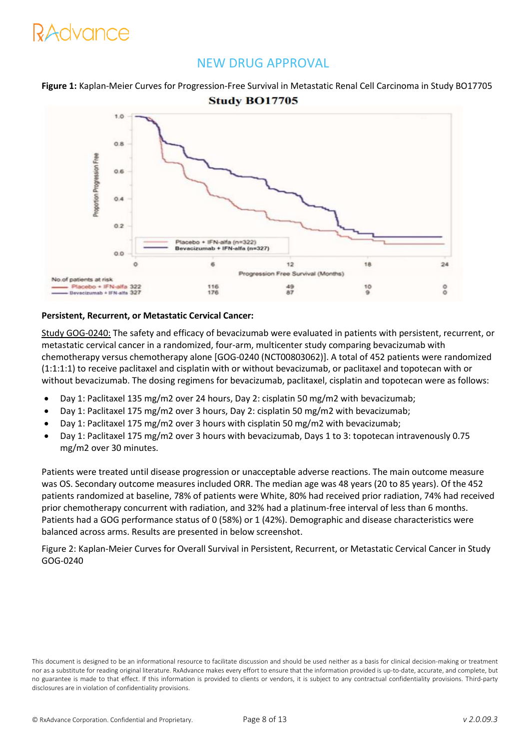### NEW DRUG APPROVAL

**Figure 1:** Kaplan-Meier Curves for Progression-Free Survival in Metastatic Renal Cell Carcinoma in Study BO17705 **Study BO17705** 



### **Persistent, Recurrent, or Metastatic Cervical Cancer:**

Study GOG-0240: The safety and efficacy of bevacizumab were evaluated in patients with persistent, recurrent, or metastatic cervical cancer in a randomized, four-arm, multicenter study comparing bevacizumab with chemotherapy versus chemotherapy alone [GOG-0240 (NCT00803062)]. A total of 452 patients were randomized (1:1:1:1) to receive paclitaxel and cisplatin with or without bevacizumab, or paclitaxel and topotecan with or without bevacizumab. The dosing regimens for bevacizumab, paclitaxel, cisplatin and topotecan were as follows:

- Day 1: Paclitaxel 135 mg/m2 over 24 hours, Day 2: cisplatin 50 mg/m2 with bevacizumab;
- Day 1: Paclitaxel 175 mg/m2 over 3 hours, Day 2: cisplatin 50 mg/m2 with bevacizumab;
- Day 1: Paclitaxel 175 mg/m2 over 3 hours with cisplatin 50 mg/m2 with bevacizumab;
- Day 1: Paclitaxel 175 mg/m2 over 3 hours with bevacizumab, Days 1 to 3: topotecan intravenously 0.75 mg/m2 over 30 minutes.

Patients were treated until disease progression or unacceptable adverse reactions. The main outcome measure was OS. Secondary outcome measures included ORR. The median age was 48 years (20 to 85 years). Of the 452 patients randomized at baseline, 78% of patients were White, 80% had received prior radiation, 74% had received prior chemotherapy concurrent with radiation, and 32% had a platinum-free interval of less than 6 months. Patients had a GOG performance status of 0 (58%) or 1 (42%). Demographic and disease characteristics were balanced across arms. Results are presented in below screenshot.

Figure 2: Kaplan-Meier Curves for Overall Survival in Persistent, Recurrent, or Metastatic Cervical Cancer in Study GOG-0240

This document is designed to be an informational resource to facilitate discussion and should be used neither as a basis for clinical decision-making or treatment nor as a substitute for reading original literature. RxAdvance makes every effort to ensure that the information provided is up-to-date, accurate, and complete, but no guarantee is made to that effect. If this information is provided to clients or vendors, it is subject to any contractual confidentiality provisions. Third-party disclosures are in violation of confidentiality provisions.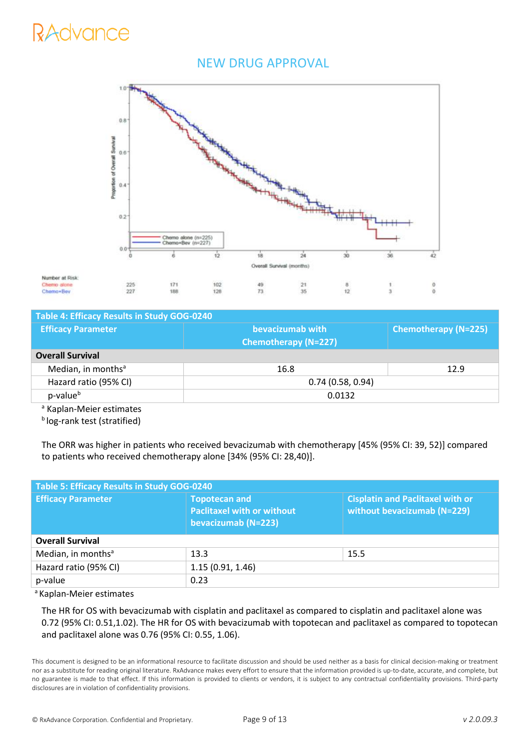### NEW DRUG APPROVAL



| Table 4: Efficacy Results in Study GOG-0240 |                             |                             |  |  |
|---------------------------------------------|-----------------------------|-----------------------------|--|--|
| <b>Efficacy Parameter</b>                   | bevacizumab with            | <b>Chemotherapy (N=225)</b> |  |  |
|                                             | <b>Chemotherapy (N=227)</b> |                             |  |  |
| <b>Overall Survival</b>                     |                             |                             |  |  |
| Median, in months <sup>a</sup>              | 16.8                        | 12.9                        |  |  |
| Hazard ratio (95% CI)                       | 0.74(0.58, 0.94)            |                             |  |  |
| p-value <sup>b</sup>                        | 0.0132                      |                             |  |  |
| a Kaplan Moior octimator                    |                             |                             |  |  |

<sup>a</sup> Kaplan-Meier estimates

Number at Risk

Chemo alon

Chemo+Bey

**b**log-rank test (stratified)

The ORR was higher in patients who received bevacizumab with chemotherapy [45% (95% CI: 39, 52)] compared to patients who received chemotherapy alone [34% (95% CI: 28,40)].

| Paclitaxel with or without<br>bevacizumab (N=223) | <b>Cisplatin and Paclitaxel with or</b><br>without bevacizumab (N=229) |  |  |
|---------------------------------------------------|------------------------------------------------------------------------|--|--|
| <b>Overall Survival</b>                           |                                                                        |  |  |
| 13.3                                              | 15.5                                                                   |  |  |
| 1.15(0.91, 1.46)                                  |                                                                        |  |  |
| 0.23                                              |                                                                        |  |  |
|                                                   | <b>Topotecan and</b>                                                   |  |  |

<sup>a</sup> Kaplan-Meier estimates

The HR for OS with bevacizumab with cisplatin and paclitaxel as compared to cisplatin and paclitaxel alone was 0.72 (95% CI: 0.51,1.02). The HR for OS with bevacizumab with topotecan and paclitaxel as compared to topotecan and paclitaxel alone was 0.76 (95% CI: 0.55, 1.06).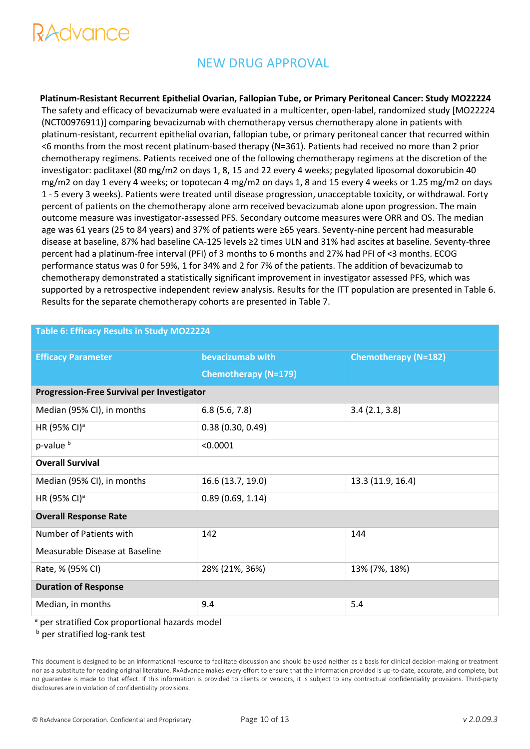# tuvuut<del>o</del>

## NEW DRUG APPROVAL

**Platinum-Resistant Recurrent Epithelial Ovarian, Fallopian Tube, or Primary Peritoneal Cancer: Study MO22224**  The safety and efficacy of bevacizumab were evaluated in a multicenter, open-label, randomized study [MO22224 (NCT00976911)] comparing bevacizumab with chemotherapy versus chemotherapy alone in patients with platinum-resistant, recurrent epithelial ovarian, fallopian tube, or primary peritoneal cancer that recurred within <6 months from the most recent platinum-based therapy (N=361). Patients had received no more than 2 prior chemotherapy regimens. Patients received one of the following chemotherapy regimens at the discretion of the investigator: paclitaxel (80 mg/m2 on days 1, 8, 15 and 22 every 4 weeks; pegylated liposomal doxorubicin 40 mg/m2 on day 1 every 4 weeks; or topotecan 4 mg/m2 on days 1, 8 and 15 every 4 weeks or 1.25 mg/m2 on days 1 - 5 every 3 weeks). Patients were treated until disease progression, unacceptable toxicity, or withdrawal. Forty percent of patients on the chemotherapy alone arm received bevacizumab alone upon progression. The main outcome measure was investigator-assessed PFS. Secondary outcome measures were ORR and OS. The median age was 61 years (25 to 84 years) and 37% of patients were ≥65 years. Seventy-nine percent had measurable disease at baseline, 87% had baseline CA-125 levels ≥2 times ULN and 31% had ascites at baseline. Seventy-three percent had a platinum-free interval (PFI) of 3 months to 6 months and 27% had PFI of <3 months. ECOG performance status was 0 for 59%, 1 for 34% and 2 for 7% of the patients. The addition of bevacizumab to chemotherapy demonstrated a statistically significant improvement in investigator assessed PFS, which was supported by a retrospective independent review analysis. Results for the ITT population are presented in Table 6. Results for the separate chemotherapy cohorts are presented in Table 7.

| Table 6: Efficacy Results in Study MO22224        |                                                 |                   |  |  |
|---------------------------------------------------|-------------------------------------------------|-------------------|--|--|
| <b>Efficacy Parameter</b>                         | bevacizumab with<br><b>Chemotherapy (N=182)</b> |                   |  |  |
|                                                   | <b>Chemotherapy (N=179)</b>                     |                   |  |  |
| <b>Progression-Free Survival per Investigator</b> |                                                 |                   |  |  |
| Median (95% CI), in months                        | 6.8(5.6, 7.8)                                   | 3.4(2.1, 3.8)     |  |  |
| HR (95% CI) <sup>a</sup>                          | 0.38(0.30, 0.49)                                |                   |  |  |
| p-value <sup>b</sup>                              | < 0.0001                                        |                   |  |  |
| <b>Overall Survival</b>                           |                                                 |                   |  |  |
| Median (95% CI), in months                        | 16.6 (13.7, 19.0)                               | 13.3 (11.9, 16.4) |  |  |
| HR (95% CI) <sup>a</sup>                          | 0.89(0.69, 1.14)                                |                   |  |  |
| <b>Overall Response Rate</b>                      |                                                 |                   |  |  |
| Number of Patients with                           | 142                                             | 144               |  |  |
| Measurable Disease at Baseline                    |                                                 |                   |  |  |
| Rate, % (95% CI)                                  | 28% (21%, 36%)<br>13% (7%, 18%)                 |                   |  |  |
| <b>Duration of Response</b>                       |                                                 |                   |  |  |
| Median, in months                                 | 9.4                                             | 5.4               |  |  |

<sup>a</sup> per stratified Cox proportional hazards model

**b** per stratified log-rank test

This document is designed to be an informational resource to facilitate discussion and should be used neither as a basis for clinical decision-making or treatment nor as a substitute for reading original literature. RxAdvance makes every effort to ensure that the information provided is up-to-date, accurate, and complete, but no guarantee is made to that effect. If this information is provided to clients or vendors, it is subject to any contractual confidentiality provisions. Third-party disclosures are in violation of confidentiality provisions.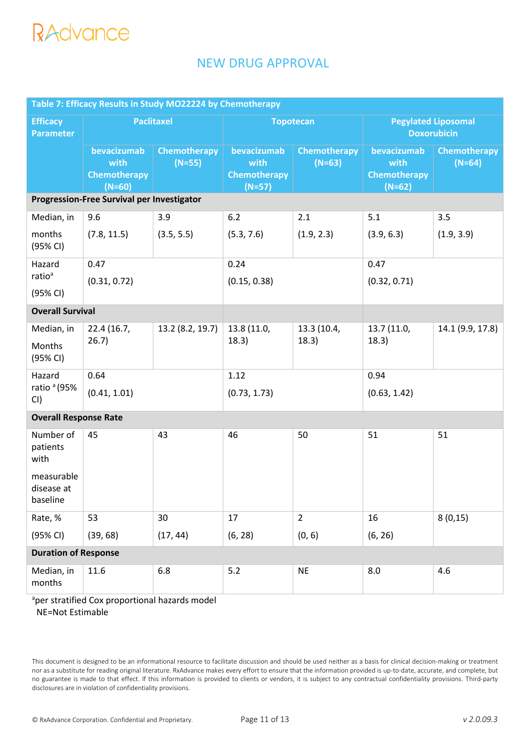## NEW DRUG APPROVAL

| Table 7: Efficacy Results in Study MO22224 by Chemotherapy |                                                 |                                 |                                                        |                                 |                                                        |                          |
|------------------------------------------------------------|-------------------------------------------------|---------------------------------|--------------------------------------------------------|---------------------------------|--------------------------------------------------------|--------------------------|
| <b>Efficacy</b><br><b>Parameter</b>                        | Paclitaxel                                      |                                 | <b>Topotecan</b>                                       |                                 | <b>Pegylated Liposomal</b><br><b>Doxorubicin</b>       |                          |
|                                                            | bevacizumab<br>with<br>Chemotherapy<br>$(N=60)$ | <b>Chemotherapy</b><br>$(N=55)$ | bevacizumab<br>with<br><b>Chemotherapy</b><br>$(N=57)$ | <b>Chemotherapy</b><br>$(N=63)$ | bevacizumab<br>with<br><b>Chemotherapy</b><br>$(N=62)$ | Chemotherapy<br>$(N=64)$ |
| <b>Progression-Free Survival per Investigator</b>          |                                                 |                                 |                                                        |                                 |                                                        |                          |
| Median, in                                                 | 9.6                                             | 3.9                             | 6.2                                                    | 2.1                             | 5.1                                                    | 3.5                      |
| months<br>(95% CI)                                         | (7.8, 11.5)                                     | (3.5, 5.5)                      | (5.3, 7.6)                                             | (1.9, 2.3)                      | (3.9, 6.3)                                             | (1.9, 3.9)               |
| Hazard                                                     | 0.47                                            |                                 |                                                        |                                 | 0.47                                                   |                          |
| ratio <sup>a</sup><br>(95% CI)                             | (0.31, 0.72)                                    |                                 | (0.15, 0.38)                                           |                                 | (0.32, 0.71)                                           |                          |
| <b>Overall Survival</b>                                    |                                                 |                                 |                                                        |                                 |                                                        |                          |
| Median, in                                                 | 22.4 (16.7,                                     | 13.2 (8.2, 19.7)                | 13.8 (11.0,                                            | 13.3 (10.4,                     | 13.7 (11.0,                                            | 14.1 (9.9, 17.8)         |
| Months<br>(95% CI)                                         | 26.7)                                           |                                 | 18.3)                                                  | 18.3)                           | 18.3)                                                  |                          |
| Hazard                                                     | 0.64                                            |                                 | 1.12                                                   |                                 | 0.94                                                   |                          |
| ratio <sup>a</sup> (95%<br>CI)                             | (0.41, 1.01)                                    |                                 | (0.73, 1.73)                                           |                                 | (0.63, 1.42)                                           |                          |
| <b>Overall Response Rate</b>                               |                                                 |                                 |                                                        |                                 |                                                        |                          |
| Number of<br>patients<br>with                              | 45                                              | 43                              | 46                                                     | 50                              | 51                                                     | 51                       |
| measurable<br>disease at<br>baseline                       |                                                 |                                 |                                                        |                                 |                                                        |                          |
| Rate, %                                                    | 53                                              | 30                              | 17                                                     | $\overline{2}$                  | 16                                                     | 8(0,15)                  |
| (95% CI)                                                   | (39, 68)                                        | (17, 44)                        | (6, 28)                                                | (0, 6)                          | (6, 26)                                                |                          |
| <b>Duration of Response</b>                                |                                                 |                                 |                                                        |                                 |                                                        |                          |
| Median, in<br>months                                       | 11.6                                            | 6.8                             | 5.2                                                    | <b>NE</b>                       | 8.0                                                    | 4.6                      |

<sup>a</sup>per stratified Cox proportional hazards model NE=Not Estimable

This document is designed to be an informational resource to facilitate discussion and should be used neither as a basis for clinical decision-making or treatment nor as a substitute for reading original literature. RxAdvance makes every effort to ensure that the information provided is up-to-date, accurate, and complete, but no guarantee is made to that effect. If this information is provided to clients or vendors, it is subject to any contractual confidentiality provisions. Third-party disclosures are in violation of confidentiality provisions.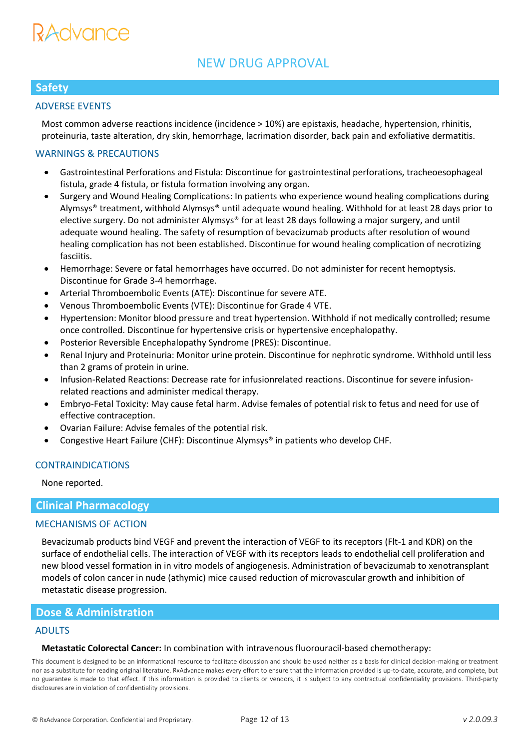# RAUVANCE

## NEW DRUG APPROVAL

### **Safety**

### ADVERSE EVENTS

Most common adverse reactions incidence (incidence > 10%) are epistaxis, headache, hypertension, rhinitis, proteinuria, taste alteration, dry skin, hemorrhage, lacrimation disorder, back pain and exfoliative dermatitis.

### WARNINGS & PRECAUTIONS

- Gastrointestinal Perforations and Fistula: Discontinue for gastrointestinal perforations, tracheoesophageal fistula, grade 4 fistula, or fistula formation involving any organ.
- Surgery and Wound Healing Complications: In patients who experience wound healing complications during Alymsys® treatment, withhold Alymsys® until adequate wound healing. Withhold for at least 28 days prior to elective surgery. Do not administer Alymsys® for at least 28 days following a major surgery, and until adequate wound healing. The safety of resumption of bevacizumab products after resolution of wound healing complication has not been established. Discontinue for wound healing complication of necrotizing fasciitis.
- Hemorrhage: Severe or fatal hemorrhages have occurred. Do not administer for recent hemoptysis. Discontinue for Grade 3-4 hemorrhage.
- Arterial Thromboembolic Events (ATE): Discontinue for severe ATE.
- Venous Thromboembolic Events (VTE): Discontinue for Grade 4 VTE.
- Hypertension: Monitor blood pressure and treat hypertension. Withhold if not medically controlled; resume once controlled. Discontinue for hypertensive crisis or hypertensive encephalopathy.
- Posterior Reversible Encephalopathy Syndrome (PRES): Discontinue.
- Renal Injury and Proteinuria: Monitor urine protein. Discontinue for nephrotic syndrome. Withhold until less than 2 grams of protein in urine.
- Infusion-Related Reactions: Decrease rate for infusionrelated reactions. Discontinue for severe infusionrelated reactions and administer medical therapy.
- Embryo-Fetal Toxicity: May cause fetal harm. Advise females of potential risk to fetus and need for use of effective contraception.
- Ovarian Failure: Advise females of the potential risk.
- Congestive Heart Failure (CHF): Discontinue Alymsys® in patients who develop CHF.

### CONTRAINDICATIONS

None reported.

### **Clinical Pharmacology**

#### MECHANISMS OF ACTION

Bevacizumab products bind VEGF and prevent the interaction of VEGF to its receptors (Flt-1 and KDR) on the surface of endothelial cells. The interaction of VEGF with its receptors leads to endothelial cell proliferation and new blood vessel formation in in vitro models of angiogenesis. Administration of bevacizumab to xenotransplant models of colon cancer in nude (athymic) mice caused reduction of microvascular growth and inhibition of metastatic disease progression.

### **Dose & Administration**

#### ADULTS

#### **Metastatic Colorectal Cancer:** In combination with intravenous fluorouracil-based chemotherapy: